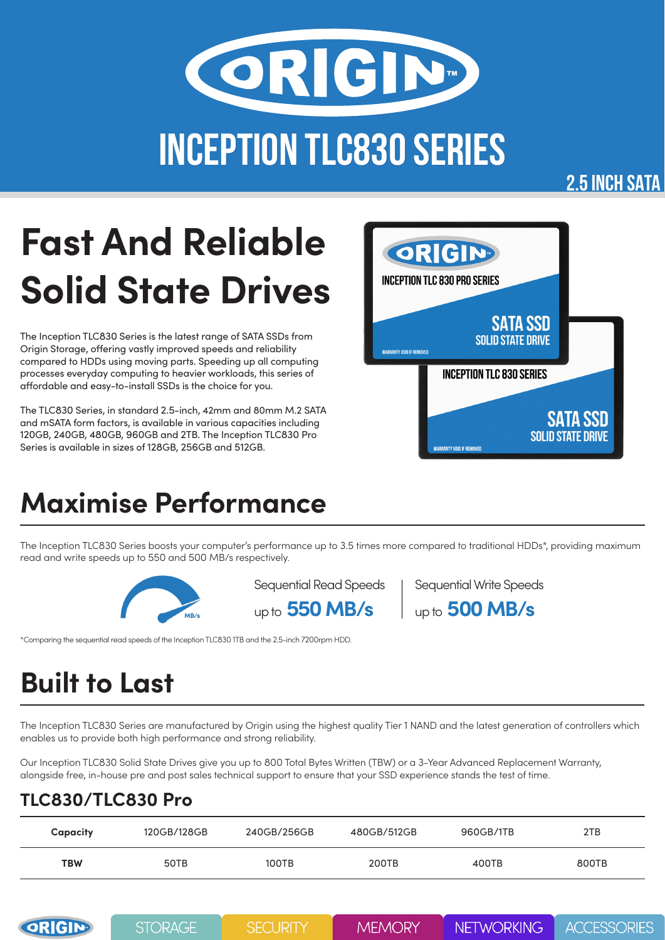

#### **2.5 INCH SATA**

# **Fast And Reliable Solid State Drives**

The Inception TLC830 Series is the latest range of SATA SSDs from Origin Storage, offering vastly improved speeds and reliability compared to HDDs using moving parts. Speeding up all computing processes everyday computing to heavier workloads, this series of affordable and easy-to-install SSDs is the choice for you.

The TLC830 Series, in standard 2.5-inch, 42mm and 80mm M.2 SATA and mSATA form factors, is available in various capacities including 120GB, 240GB, 480GB, 960GB and 2TB. The Inception TLC830 Pro Series is available in sizes of 128GB, 256GB and 512GB.



### **Maximise Performance**

The Inception TLC830 Series boosts your computer's performance up to 3.5 times more compared to traditional HDDs\*, providing maximum read and write speeds up to 550 and 500 MB/s respectively.



Sequential Read Speeds

up to **550 MB/s** up to **500 MB/s** Sequential Write Speeds

\*Comparing the sequential read speeds of the Inception TLC830 1TB and the 2.5-inch 7200rpm HDD.

# **Built to Last**

The Inception TLC830 Series are manufactured by Origin using the highest quality Tier 1 NAND and the latest generation of controllers which enables us to provide both high performance and strong reliability.

Our Inception TLC830 Solid State Drives give you up to 800 Total Bytes Written (TBW) or a 3-Year Advanced Replacement Warranty, alongside free, in-house pre and post sales technical support to ensure that your SSD experience stands the test of time.

#### **TLC830/TLC830 Pro**

| Capacity   | 120GB/128GB | 240GB/256GB | 480GB/512GB | 960GB/1TB | 2TB   |
|------------|-------------|-------------|-------------|-----------|-------|
| <b>TBW</b> | 50TB        | 100TB       | 200TB       | 400TB     | 800TB |

| ORIGIN | <b>STORAGE</b> | <b>SECURITY</b> | <b>MEMORY</b> | <b>NETWORKING</b> | <b>ACCESSORIES</b> |
|--------|----------------|-----------------|---------------|-------------------|--------------------|
|--------|----------------|-----------------|---------------|-------------------|--------------------|